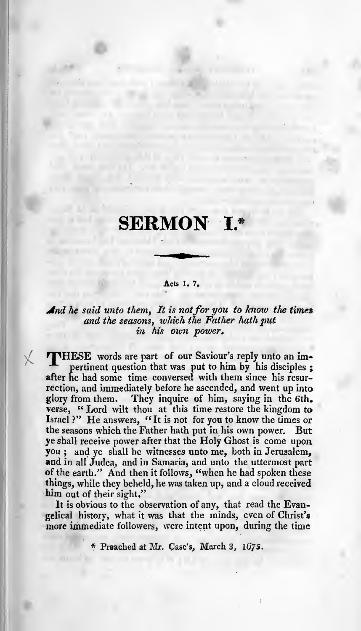# SERMON I.\*

#### Acts 1. 7.

# And he said unto them, It is not for you to know the times and the seasons, which the Father hath put in his own power.

HPHESE words are part of our Saviour's reply unto an impertinent question that was put to him by his disciples ; after he had some time conversed with them since his resurrection, and immediately before he ascended, and went up into glory from them. They inquire of him, saying in the 6th. verse, "Lord wilt thou at this time restore the kingdom to Israel ?" He answers, "It is not for you to know the times or the seasons which the Father hath put in his own power. But ye shall receive power after that the Holy Ghost is come upon, you ; and ye shall be witnesses unto me, both in Jerusalem, and in all Judea, and in Samaria, and unto the uttermost part of the earth." And then it follows, "when he had spoken these things, while they beheld, he was taken up, and <sup>a</sup> cloud received him out of their sight."

It is obvious to the observation of any, that read the Evangelical history, what itwas that the minds, even of Christ's more immediate followers, were intent upon, during the time

\* Preached at Mr. Case's, March 3,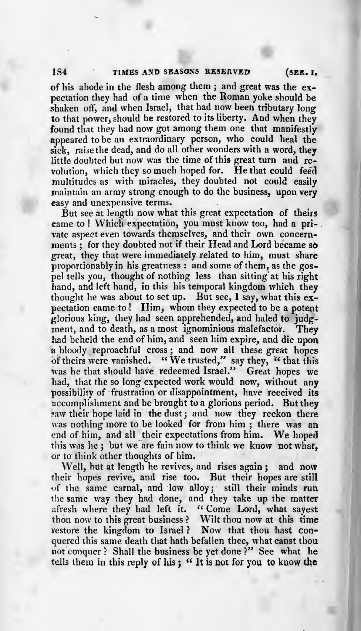of his abode in the flesh among them ; and great was the ex pectation they had of <sup>a</sup> time when the Roman yoke should be shaken off, and when Israel, that had now been tributary long to that power, should be restored to its liberty. And when they found that they had now got among them one that manifestly appeared to be an extraordinary person, who could heal the sick, raise the dead, and do all other wonders with a word, they little doubted but now was the time of this great turn and re volution, which they so much hoped for. He that could feed multitudes as with miracles, they doubted not could easily maintain an army strong enough to do the business, upon very<br>easy and unexpensive terms.

But see at length now what this great expectation of theirs came to ! Which expectation, you must know too, had a pri-. vate aspect even towards themselves, and their own concernments : for they doubted not if their Head and Lord became so great, they that were immediately related to him, must share proportionably in his greatness : and some of them, as the gos pel tells you, thought of nothing less than sitting' at his right hand, and left hand, in this his temporal kingdom which they thought he was about to set up. But see, I say, what this  $ex$ pectation came to! Him, whom they expected to be a potent glorious king, they had seen apprehended, and haled to judg ment, and to death, as <sup>a</sup> most ignominious malefactor. They had beheld the end of him, and seen him expire, and die upon a bloody reproachful cross; and now all these great hopes of theirs were vanished. "We trusted," say they, "that this " We trusted," say they, " that this was he that should have redeemed Israel." Great hopes we had, that the so long expected work would now, without any possibility of frustration or disappointment, have received its accomplishment and be brought to a glorious period. But they saw their hope laid in the dust; and now they reckon there<br>was nothing more to be looked for from him; there was an end of him, and all their expectations from him. We hoped this was he ; but we are fain now to think we know not what, or to think other thoughts of him.

Well, but at length he revives, and rises again; and now their hopes revive, and rise too. But their hopes are still of the same carnal, and low alloy; still their minds run the same way they had done, and they take up the matter afresh where they had left it. "Come Lord, what sayest thou now to this great business ? Wilt thou now at this time restore the kingdom to Israel? Now that thou hast conquered this same death that hath befallen thee, what canst thou not conquer? Shall the business be yet done?" See what he tells them in this reply of his; "It is not for you to know the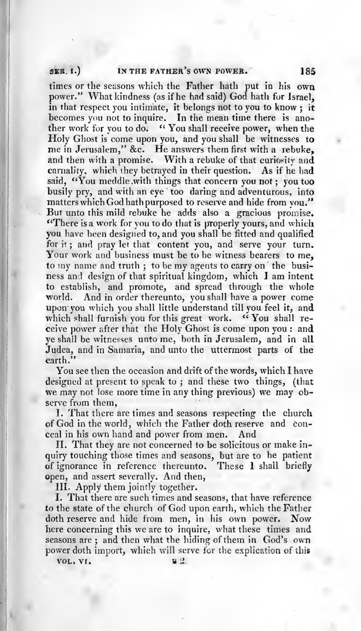### SER. I.) IN THE FATHER'S OWN POWER. 185

times or the seasons which the Father hath put in his own power." What kindness (as if he had said) God hath for Israel, in that respect you intimate, it belongs not to you to know; it becomes you not to inquire. In the mean time there is another work for you to do. " You shall receive power, when the Holy Ghost is come upon you, and you shall be witnesses to me in Jerusalem," &c. He answers them first with a rebuke, and then with <sup>a</sup> promise. With <sup>a</sup> rebuke of that curiosity and carnality, which they betrayed in their question. As if he had said, "You meddle with things that concern you not; you too busily pry, and with an eye too daring and adventurous, into matters which God hath purposed to reserve and hide from you." But unto this mild rebuke he adds also <sup>a</sup> gracious promise. "There is a work for you to do that is properly yours, and which you have been designed to, and you shall be fitted and qualified for it; and pray let that content you, and serve your turn. Your work and business must be to be witness bearers to me, to my name and truth; to be my agents to carry on the business and design of that spiritual kingdom, which I am intent to establish, and promote, and spread through the whole world. And in order thereunto, you shall have <sup>a</sup> power come upon you which you shall little understand till you feel it, and which shall furnish you for this great work. "You shall receive power after that the Holy Ghost is come upon you : and ye shall be witnesses unto me, both in Jerusalem, and in all Judea, and in Samaria, and unto the uttermost parts of the earth."

You see then the occasion and drift of the words, which I have<br>designed at present to speak to; and these two things, (that we may not lose more time in any thing previous) we may observe from them,

I. That there are times and seasons respecting the church of God in the world, which the Father doth reserve and con ceal in his own hand and power from men. And

II. That they are not concerned to be solicitous or make in quiry touching those times and seasons, but are to be patient of ignorance in reference thereunto. These <sup>1</sup> shall briefly open, and assert severally. And then,

III. Apply them jointly together.

I. That there are such times and seasons, that have reference to the state of the church of God upon earth, which the Father doth reserve and hide from men, in his own power. Now here concerning this we are to inquire, what these times and seasons are ; and then what the hiding of them in God's own power doth import, which will serve for the explication of this<br> $\frac{B}{2}$ 

VOL, VI. B 2.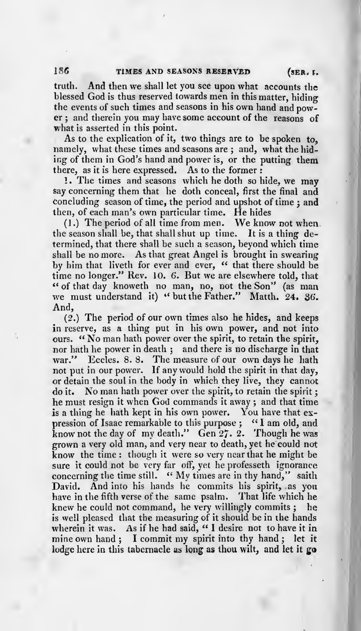truth. And then we shall let you see upon what accounts the blessed God is thus reserved towards men in this matter, hiding the events of such times and seasons in his own hand and pow er ; and therein you may have some account of the reasons of what is asserted in this point.

As to the explication of it, two things are to be spoken to, namely, what these times and seasons are; and, what the hiding of them in God's hand and power is, or the putting them there, as it is here expressed. As to the former :

! . The times and seasons which he doth so hide, we may say concerning them that he doth conceal, first the final and concluding season of time, the period and upshot of time ; and then, of each man's own particular time. He hides

(1.) The period of all time from men. We know not when the season shall be, that shall shut up time. It is <sup>a</sup> thing de termined, that there shall be such <sup>a</sup> season, beyond which time shall be no more. As that great Angel is brought in swearing by him that liveth for ever and ever, " that there should be time no longer." Rev. 10. 6. But we are elsewhere told, that " of that day knoweth no man, no, not the Son" (as man we must understand it) " but the Father." Matth. 24. 36. And,

(2.) The period of our own times also he hides, and keeps in reserve, as <sup>a</sup> thing put in his own power, and not into ours. " No man hath power over the spirit, to retain the spirit, nor hath he power in death ; and there is no discharge in that war." Eccles. 8. 8. The measure of our own days he hath not put in our power. If any would hold the spirit in that day, or detain the soul in the body in which they live, they cannot do it. No man hath power over the spirit, to retain the spirit ; he must resign it when God commands it away ; and that time is a thing he hath kept in his own power. You have that expression of Isaac remarkable to this purpose ; "I am old, and know not the day of my death." Gen  $27.2$ . Though he was grown a very old man, and very near to death, yet he could not know the time : though it were so very near that he might be sure it could not be very far off, yet he professeth ignorance concerning the time still. " My times are in thy hand," saith David. And into his hands he commits his spirit, as you have in the fifth verse of the same psalm. That life which he knew he could not command, he very willingly commits ; he is well pleased that the measuring of it should be in the hands wherein it was. As if he had said, "I desire not to have it in mine own hand ; <sup>I</sup> commit my spirit into thy hand ; let it lodge here in this tabernacle as long as thou wilt, and let it go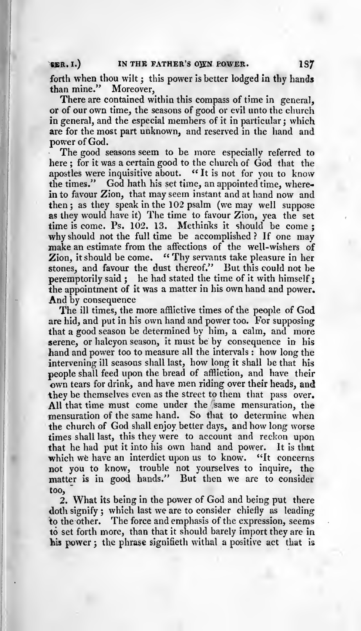#### $SER. I.$  IN THE FATHER'S OWN POWER.  $1S7$

forth when thou wilt; this power is better lodged in thy hands<br>than mine." Moreover. than mine."

There are contained within this compass of time in general, or of our own time, the seasons of good or evil unto the church in general, and the especial members of it in particular; which are for the most part unknown, and reserved in the hand and power of God.

The good seasons seem to be more especially referred to here ; for it was <sup>a</sup> certain good to the church of God that the apostles were inquisitive about. "It is not for you to know the times." God hath his set time, an appointed time, wherein to favour Zion, that may seem instant and at hand now and then; as they speak in the 102 psalm (we may well suppose as they would have it) The time to favour Zion, yea the set time is come. Ps. 102. 13. Methinks it should be come ; why should not the full time be accomplished? If one may make an estimate from the affections of the well-wishers of Zion, it should be come. " Thy servants take pleasure in her stones, and favour the dust thereof." But this could not be peremptorily said; he had stated the time of it with himself: the appointment of it was <sup>a</sup> matter in his own hand and power. And by consequence

The ill times, the more afflictive times of the people of God are hid, and put in his own hand and power too. For supposing that <sup>a</sup> good season be determined by him, <sup>a</sup> calm, and more serene, or halcyon season, it must be by consequence in his hand and power too to measure all the intervals : how long the intervening ill seasons shall last, how long it shall be that his own tears for drink, and have men riding over their heads, and they be themselves even as the street to them that pass over. All that time must come under the same mensuration, the mensuration of the same hand. So that to determine when the church of God shall enjoy better days, and how long worse times shall last, this they were to account and reckon upon that he had put it into his own hand and power. It is that which we have an interdict upon us to know. "It concerns not you to know, trouble not yourselves to inquire, the matter is in good hands." But then we are to consider too,

2. What its being in the power of God and being put there doth signify; which last we are to consider chiefly as leading to the other. The force and emphasis of the expression, seems to set forth more, than that it should barely import they are in his power ; the phrase signifieth withal <sup>a</sup> positive act that is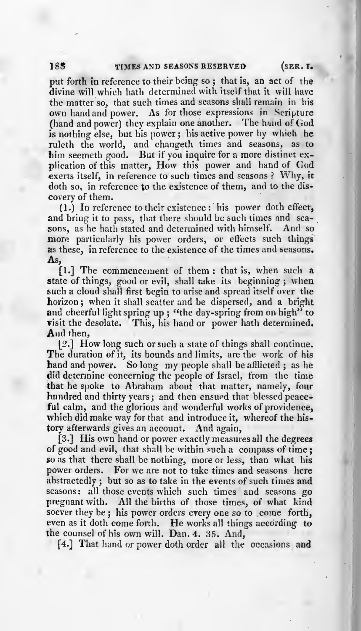put forth in reference to their being so ; that is, an act of the divine will which hath determined with itself that it will have the matter so, that such times and seasons shall remain in his own hand and power. As for those expressions in Scripture (hand and power) they explain one another. The hand of God is nothing else, but his power; his active power by which he ruleth the world, and changeth times and seasons, as to him seemeth good. But if you inquire for a more distinct explication of this matter, How this power and hand of God exerts itself, in reference to such times and seasons ? Why, it doth so, in reference to the existence of them, and to the discovery of them.<br>(1.) In reference to their existence : his power doth effect,

and bring it to pass, that there should be such times and seasons, as he hath stated and determined with himself. And so more particularly his power orders, or effects such things as these, in reference to the existence of the times and seasons. As,

[I.] The commencement of them : that is, when such <sup>a</sup> state of things, good or evil, shall take its beginning; when such <sup>a</sup> cloud shall first begin to arise and spread itself over the horizon ; when it shall scatter and be dispersed, and <sup>a</sup> bright and cheerful light spring up ; "the day-spring from on high" to visit the desolate. This, his hand or power hath determined. And then,

[2.] How long such or such <sup>a</sup> state of things shall continue. The duration of it, its bounds and limits, are the work of his hand and power. So long my people shall be afflicted ; as he did determine concerning the people of Israel, from the time<br>that he spoke to Abraham about that matter, namely, four hundred and thirty years; and then ensued that blessed peaceful calm, and the glorious and wonderful works of providence, which did make way for that and introduce it, whereof the history afterwards gives an account. And again,

[3.] His own hand or power exactly measures all the degrees of good and evil, that shall be within such <sup>a</sup> compass of time ; so as that there shall be nothing, more or less, than what his power orders. For we are not to take times and seasons here abstractedly ; but so as to take in the events of such times and seasons: all those events which such times and seasons go pregnant with. All the births of those times, of what kind soever they be ; his power orders every one so to come forth, even as it doth come forth. He works all things according to the counsel of his own will. Dan. 4. 35. And,

[4.] That hand or power doth order all the occasions and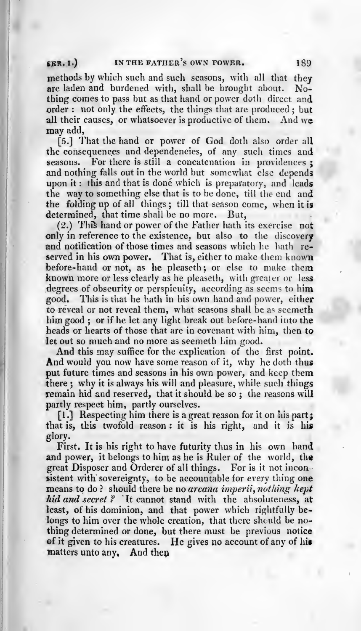#### SER. I.) IN THE FATHER'S OWN POWER. 189

methods by which such and such seasons, with all that they are laden and burdened with, shall be brought about. Noare laden and burdened with, shall be brought about. thing comes to pass but as that hand or power doth direct and order : not only the effects, the things that are produced; but all their causes, or whatsoever is productive of them. And we all their causes, or whatsoever is productive of them. may add,

[5.] That the hand or power of God doth also order all the consequences and dependencies, of any such times and seasons. For there is still a concatenation in providences; and nothing falls out in the world but somewhat else depends upon it: this and that is done which is preparatory, and leads the way to something else that is to be done, till the end and the folding up of all things ; till that season come, when it is determined, that time shall be no more. But,

(2.) This hand or power of the Father hath its exercise not only in reference to the existence, but also to the discovery and notification of those times and seasons which he hath reserved in his own power. That is, either to make them known before-hand or not, as he pleaseth; or else to make them known more or less clearly as he pleaseth, with greater or less degrees of obscurity or perspicuity, according as seems to him good. This is that he hath in his own hand and power, either to reveal or not reveal them, what seasons shall be as seerneth him good ; or if he let any light break out before-hand into the heads or hearts of those that are in covenant with him, then to let out so much and no more as seemeth him good.

And this may suffice for the explication of the first point. And would you now have some reason of it, why he doth thus put future times and seasons in his own power, and keep them there ; why it is always his will and pleasure, while such things remain hid and reserved, that it should be so; the reasons will partly respect him, partly ourselves.

[1.] Respecting him there is a great reason for it on his part; that is, this twofold reason : it is his right, and it is his glory.

First. It is his right to have futurity thus in his own hand and power, it belongs to him as he is Ruler of the world, the great Disposer and Orderer of all things. For is it not incon-<br>sistent with sovereignty, to be accountable for every thing one means to do? should there be no arcana imperii, nothing kept hid and secret? It cannot stand with the absoluteness, at least, of his dominion, and that power which rightfully be longs to him over the whole creation, that there should be nothing determined or done, but there must be previous notice of it given to his creatures. He gives no account of any of hit matters unto any. And then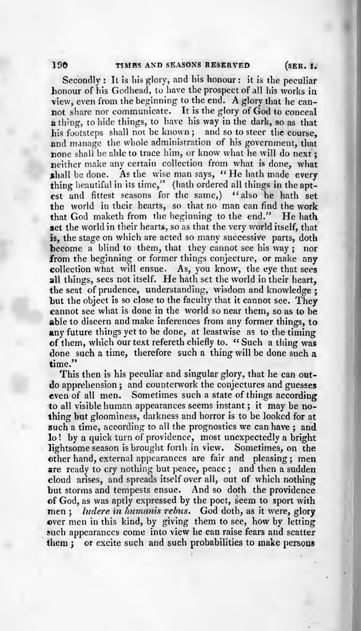Secondly : It is his glory, and his honour : it is the peculiar honour of his Godhead, to have the prospect of all his works in view, even from the beginning to the end. A glory that he can not share nor communicate. It is the glory of God to conceal a thing, to hide things, to have his way in the dark, so as that his footsteps shall not be known; and so to steer the course. and manage the whole administration of his government, that none shall be able to trace him, or know what he will do next: neither make any certain collection from what is done, what shall be done. As the wise man says, "He hath made every thing beautiful in its time," (hath ordered all things in the aptest and fittest seasons for the same,) "also he hath set the world in their hearts, so that no man can find the work that God maketh from the beginning to the end." He hath set the world in their hearts, so as that the very world itself, that is, the stage on which are acted so many successive parts, doth become a blind to them, that they cannot see his way; nor from the beginning or former things conjecture, or make any collection what will ensue. As, you know, the eye that sees all things, sees not itself. He hath set the world in their heart, the seat of prudence, understanding, wisdom and knowledge ; but the object is so close to the faculty that it cannot see. They cannot see what is done in the world so near them, so as to be able to discern and make inferences from any former things, to any future things yet to be done, at leastwise as to the timing of them, which our text refereth chiefly to. " Such <sup>a</sup> thing was done such <sup>a</sup> time, therefore such <sup>a</sup> thing will be done such a time."

This then is his peculiar and singular glory, that he can outdo apprehension ; and counterwork the conjectures and guesses even of all men. Sometimes such <sup>a</sup> state of things according to all visible human appearances seems instant ; it may be no thing but gloominess, darkness and horror is to be looked for at such a time, according to all the prognostics we can have; and lo! by a quick turn of providence, most unexpectedly a bright lightsome season is brought forth in view. Sometimes, on the other hand, external appearances are fair and pleasing ; men are ready to cry nothing but peace, peace; and then a sudden cloud arises, and spreads itself over all, out of which nothing but storms and tempests ensue. And so doth the providence of God, as was aptly expressed by the poet, seem to sport with men; ludere in humanis rebus. God doth, as it were, glory over men in this kind, by giving them to see, how by letting them ; or excite such and such probabilities to make persons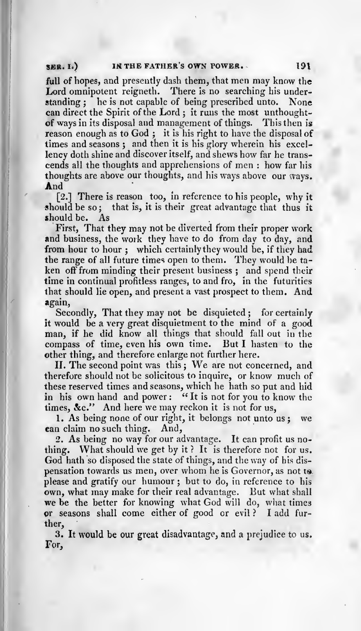#### SER. I.) IN THE FATHER'S OWN POWER. 191

full of hopes, and presently dash them, that men may know the Lord omnipotent reigneth. There is no searching his under-<br>standing ; he is not capable of being prescribed unto. None he is not capable of being prescribed unto. can direct the Spirit of the Lord ; it runs the most unthoughtof ways in its disposal and management of things. This then is reason enough as to God ; it is his right to have the disposal of times and seasons; and then it is his glory wherein his excellency doth shine and discover itself, and shews how far he transcends all the thoughts and apprehensions of men : how far his thoughts are above our thoughts, and his ways above our ways.<br> **And** [2.] There is reason too, in reference to his people, why it

should be so; that is, it is their great advantage that thus it should be. As should be.

First, That they may not be diverted from their proper work and business, the work they have to do from day to day, and from hour to hour; which certainly they would be, if they had the range of all future times open to them. They would be taken off from minding their present business; and spend their time in continual profitless ranges, to and fro, in the futurities that should lie open, and present <sup>a</sup> vast prospect to them. And again,

Secondly, That they may not be disquieted ; for certainly it would be <sup>a</sup> very great disquietment to the mind of <sup>a</sup> good man, if he did know all things that should fall out in the compass of time, even his own time. But I hasten to the other thing, and therefore enlarge not further here.

II. The second point was this ; We are not concerned, and therefore should not be solicitous to inquire, or know much of these reserved times and seasons, which he hath so put and hid in his own hand and power: "It is not for you to know the times, &c." And here we may reckon it is not for us,

1. As being none of our right, it belongs not unto us ; we can claim no such thing. And,

2. As being no way for our advantage. It can profit us no-<br>thing. What should we get by it? It is therefore not for us. God hath so disposed the state of things, and the way of his dispensation towards us men, over whom he is Governor, as not <sup>t</sup> please and gratify our humour; but to do, in reference to his own, what may make for their real advantage. But what shall we be the better for knowing what God will do, what times or seasons shall come either of good or evil ? <sup>I</sup> add fur ther,

3. It would be our great disadvantage, and <sup>a</sup> prejudice to us. For,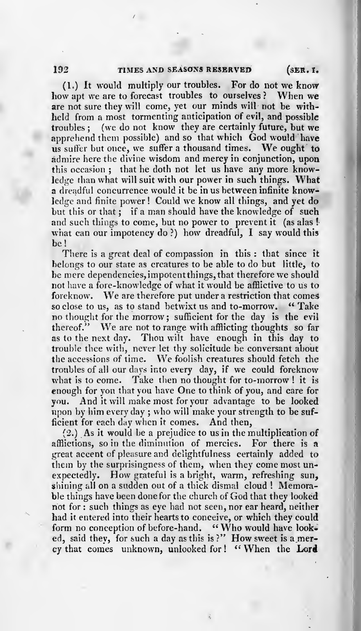(1.) It would multiply our troubles. For do not we know we are to forecast troubles to ourselves? When we how apt we are to forecast troubles to ourselves ? are not sure they will come, yet our minds will not be withheld from a most tormenting anticipation of evil, and possible troubles ; (we do not know they are certainly future, but we apprehend them possible) and so that which God would have us suffer but once, we suffer a thousand times. We ought to admire here the divine wisdom and mercy in conjunction, upon this occasion; that he doth not let us have any more knowledge than what will suit with our power in such things. What a dreadful concurrence would it be in us between infinite knowledge and finite power ! Could we know all things, and yet do but this or that; if a man should have the knowledge of such and such things to come, but no power to prevent it (as alas ! what can our impotency do?) how dreadful, I say would this be!

There is <sup>a</sup> great deal of compassion in this : that since it belongs to our state as creatures to be able to do but little, to be mere dependencies,impotentthings,that therefore we should not have <sup>a</sup> fore-knowledge of what it would be afflictive to us to foreknow. We are therefore put under <sup>a</sup> restriction that comes so close to us, as to stand betwixt us and to-morrow. "Take no thought for the morrow; sufficient for the day is the evil<br>thereof." We are not to range with afflicting thoughts so far We are not to range with afflicting thoughts so far as to the next day. Thou wilt have enough in this day to trouble thee with, never let thy solicitude be conversant about the accessions of time. We foolish creatures should fetch the troubles of all our days into every day, if we could foreknow what is to come. Take then no thought for to-morrow! it is enough for you that you have One to think of you, and care for you. And it will make most for your advantage to be looked npon by him every day ; who will make your strength to be suf ficient for each day when it comes. And then,

(2.) As itwould be <sup>a</sup> prejudice to us in the multiplication of afflictions, so in the diminution of mercies. For there is a great accent of pleasure and delightfulness certainly added to them by the surprisingness of them, when they come most un-<br>expectedly. How grateful is a bright, warm, refreshing sun. How grateful is a bright, warm, refreshing sun, shining all on <sup>a</sup> sudden out of <sup>a</sup> thick dismal cloud ! Memora ble things have been done for the church of God that they looked not for : such things as eye had not seen, nor ear heard, neither had it entered into their hearts to conceive, or which they could<br>form no conception of before-hand. "Who would have lookform no conception of before-hand. ed, said they, for such a day as this is?" How sweet is a mercy that comes unknown, unlooked for! " When the Lord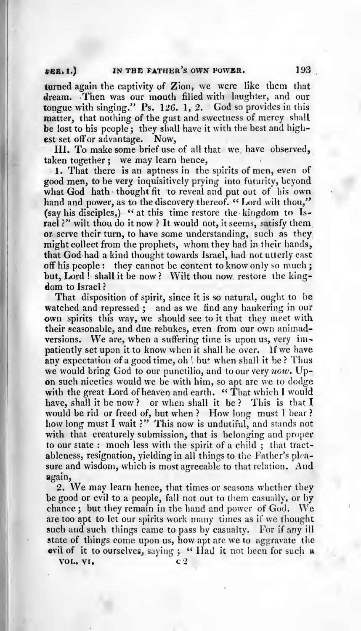# \$ER. I.) IN THE FATHER'S OWN POWER.

turned again the captivity of Zion, we were like them that dream. Then was our mouth filled with laughter, and our tongue with singing." Ps. 126. 1, 2. God so provides in this matter, that nothing of the gust and sweetness of mercy shall be lost to his people; they shall have it with the best and high-<br>est set off or advantage. Now, est set off or advantage.

III. To make some brief use of all that we have observed, taken together ; we may learn hence,

1. That there is an aptness in the spirits of men, even of good men, to be very inquisitively prying into futurity, beyond what God hath thought fit to reveal and put out of his own hand and power, as to the discovery thereof. " Lord wilt thou," (say his disciples,) " at this time restore the kingdom to Israel ?" wilt thou do it now ? It would not, it seems, satisfy them or serve their turn, to have some understanding, such as they might collect from the prophets, whom they had in their hands, that God had <sup>a</sup> kind thought towards Israel, had not utterly cast off his people: they cannot be content to know only so much; but, Lord ! shall it be now? Wilt thou now restore the kingdom to Israel ?

That disposition of spirit, since it is so natural, ought to be watched and repressed; and as we find any hankering in our own spirits this way, we should see to it that they meet with their seasonable, and due rebukes, even from our own animad versions. We are, when <sup>a</sup> suffering time is upon us, very im patiently set upon it to know when it shall be over. If we have any expectation of a good time, oh ! but when shall it be ? Thus we would bring God to our punctilio, and to our very now. Upon such niceties would we be with him, so apt are we to dodge with the great Lord of heaven and earth. "That which I would have, shall it be now? or when shall it be? This is that I would be rid or freed of, but when? How long must I bear? how long must I wait ?" This now is undutiful, and stands not with that creaturely submission, that is belonging and proper to our state : much less with the spirit of <sup>a</sup> child ; that tract ableness, resignation, yielding in all things to the Father's plrasure and wisdom, which is most agreeable to that relation. And again,

2. We may learn hence, that times or seasons whether they be good or evil to <sup>a</sup> people, fall not out to them casually, or by chance ; but they remain in the hand and power of God. We are too apt to let our spirits work many times as if we thought such and such things came to pass by casualty. For if any ill state of things come upon us, how apt are we to aggravate the evil of it to ourselves, saying ; "Had it not been for such a

VOL. VI.

193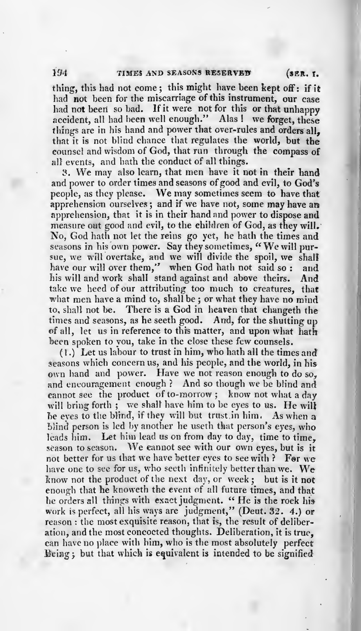thing, this had not come ; this might have been kept off: if it had not been for the miscarriage of this instrument, our case had not beeri so bad. If it were not for this or that unhappy accident, all had been well enough." Alas ! we forget, these things are in his hand and power that over-rules and orders all, that it is not blind chance that regulates the world, but the counsel and wisdom of God, that run through the compass of all events, and hath the conduct of all things.

3. We may also learn, that men have it not in their hand and power to order times and seasons of good and evil, to God's people, as they please. We may sometimes seem to have that apprehension ourselves ; and if we have not, some may have an apprehension, that it is in their hand and power to dispose and measure out good and evil, to the children of God, as they will. No, God hath not let the reins go yet, he hath the times and seasons in his own power. Say they sometimes, "We will pursue, we will overtake, and we will divide the spoil, we shall<br>have our will over them," when God hath not said so: and have our will over them,' <sup>7</sup> when God hath not said so : and his will and work shall stand against and above theirs. And<br>take we heed of our attributing too much to creatures, that what men have a mind to, shall be; or what they have no mind to, shall not be. There is <sup>a</sup> God in heaven that ehangeth the times and seasons, as he seeth good. And, for the shutting up of all, let us in reference to this matter, and upon what hath been spoken to you, take in the close these few counsels.

seasons which concern us, and his people, and the world, in his  $(1.)$  Let us labour to trust in him, who hath all the times and own hand and power. Have we not reason enough to do so, and encouragement enough ? And so though we be blind and cannot see the product of to-morrow ; know not what <sup>a</sup> day will bring forth; we shall have him to be eyes to us. He will he eyes to the blind, if they will but trust in him. As when a blind person is led by another he useth that person's eyes, who leads him. Let him lead us on from day to day, time to time, season to season. We cannot see with our own eyes, but is it not better for us that we have better eyes to see with ? For we have one to see for us, who seeth infinitely better than we. We know not the product of the next day, or week ; but is it not enough that he knoweth the event of all future times, and that he orders all things with exact judgment. " He is the rock his work is perfect, all his ways are judgment," (Deut. 32. 4.) or reason : the most exquisite reason, that is, the result of deliber ation, and the most concocted thoughts. Deliberation, it is true, can have no place with him, who is the most absolutely perfect Being; but that which is equivalent is intended to be signified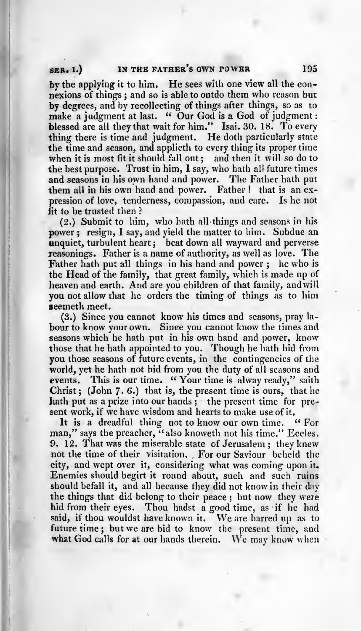# SER. I.) IN THE FATHER'S OWN POWER 195

by the applying it to him. He sees with one view all the con nexions of things; and so is able to outdo them who reason but<br>by degrees, and by recollecting of things after things, so as to make a judgment at last. " Our God is a God of judgment : blessed are all they that wait for him." Isai. 30. 18. To every thing there is time and judgment. He doth particularly state the time and season, and applieth to every thing its proper time when it is most fit it should fall out; and then it will so do to the best purpose. Trust in him, <sup>1</sup> say, who hath all future times and seasons in his own hand and power. The Father hath put them all in his own hand and power. Father! that is an ex-<br>pression of love, tenderness, compassion, and care. Is he not pression of love, tenderness, compassion, and care. fit to be trusted then ?

(2.) Submit to him, who hath all things and seasons in his power ; resign, I say, and yield the matter to him. Subdue an unquiet, turbulent heart ; beat down all wayward and perverse reasonings. Father is <sup>a</sup> name of authority, as well as love. The Father hath put all things in his hand and power ; he who is the Head of the family, that great family, which is made up of heaven and earth. And are you children of that family, and will you not allow that he orders the timing of things as to him seemeth meet.<br>(3.) Since you cannot know his times and seasons, pray la-

bour to know your own. Since you cannot know the times and seasons which he hath put in his own hand and power, know those that he hath appointed to you. Though he hath hid from you those seasons of future events, in the contingencies of the world, yet he hath not hid from you the duty of all seasons and events. This is our time. "Your time is alway ready," saith Christ; (John  $7.6$ .) that is, the present time is ours, that he hath put as a prize into our hands; the present time for present work, if we have wisdom and hearts to make use of it.

It is a dreadful thing not to know our own time. "For man," says the preacher, "also knoweth not his time." Eccles. 9. 12. That was the miserable state of Jerusalem; they knew not the time of their visitation. For our Saviour beheld the city, and wept over it, considering what was coming upon it. Enemies should begirt it round about, such and such ruins should befall it, and all because they did not know in their day the things that did belong to their peace ; but now they were hid from their eyes. Thou hadst <sup>a</sup> good time, as if he had said, if thou wouldst have known it. We are barred up as to future time; but we are bid to know the present time, and what God calls for at our hands therein. We may know when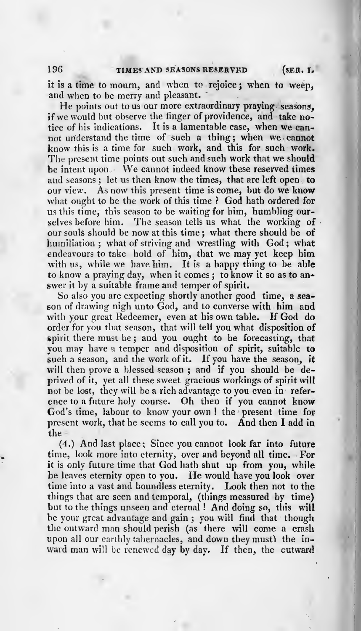it is <sup>a</sup> time to mourn, and when to rejoice ; when to weep, and when to be merry and pleasant.

He points out to us our more extraordinary praying seasons. if we would but observe the finger of providence, and take notice of his indications. It is <sup>a</sup> lamentable case, when we can not understand the time of such <sup>a</sup> thing; when we cannot know this is a time for such work, and this for such work. The present time points out such and such work that we should be intent upon. We cannot indeed know these reserved times and seasons; let us then know the times, that are left open, to our view. As now this present time is come, but do we know what ought to be the work of this time ? God hath ordered for us this time, this season to be waiting for him, humbling our selves before him. The season tells us what the working of our souls should be now at this time ; what there should be of humiliation; what of striving and wrestling with God; what endeavours to take hold of him, that we may yet keep him with us, while we have him. It is a happy thing to be able to know <sup>a</sup> praying day, when it comes ; to know it so as to an swer it by <sup>a</sup> suitable frame and temper of spirit.

So also you are expecting shortly another good time, <sup>a</sup> sea son of drawing nigh unto God, and to converse with him and with your great Redeemer, even at his own table. If God do order for you that season, that will tell you what disposition of spirit there must be ; and you ought to be forecasting, that you may have <sup>a</sup> temper and disposition of spirit, suitable to such a season, and the work of it. If you have the season, it will then prove a blessed season; and if you should be deprived of it, yet all these sweet gracious workings of spirit will not be lost, they will be a rich advantage to you even in reference to <sup>a</sup> future holy course. Oh then if you cannot know God's time, labour to know your own ! the present time for present work, that he seems to call you to. And then <sup>I</sup> add in the

(4.) And last place ; Since you cannot look far into future time, look more into eternity, over and beyond all time. For it is only future time that God hath shut up from you, while he leaves eternity open to you. He would have you look over time into <sup>a</sup> vast and boundless eternity. Look then not to the things that are seen and temporal, (things measured by time) but to the things unseen and eternal ! And doing so, this will be your great advantage and gain ; you will find that though the outward man should perish (as there will come <sup>a</sup> crash upon all our earthly tabernacles, and down they must) the in-<br>ward man will be renewed day by day. If then, the outward